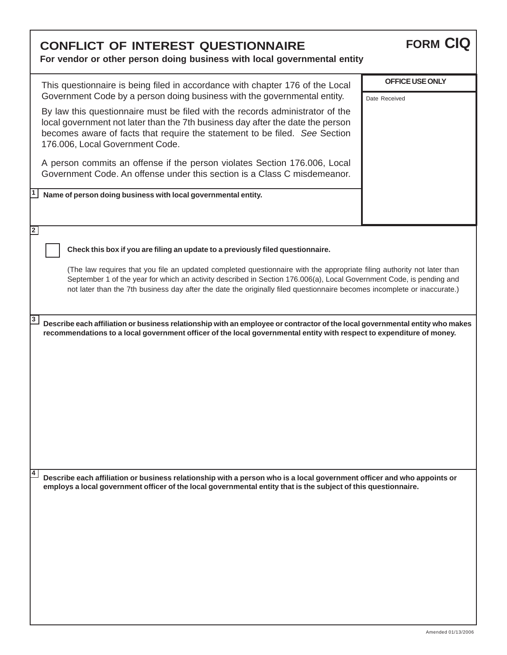| <b>CONFLICT OF INTEREST QUESTIONNAIRE</b><br>For vendor or other person doing business with local governmental entity                                                                                                                                                                                                                                                                                                                                                                                                                                                                                                                                                                                                                         | <b>FORM CIQ</b>                  |
|-----------------------------------------------------------------------------------------------------------------------------------------------------------------------------------------------------------------------------------------------------------------------------------------------------------------------------------------------------------------------------------------------------------------------------------------------------------------------------------------------------------------------------------------------------------------------------------------------------------------------------------------------------------------------------------------------------------------------------------------------|----------------------------------|
| This questionnaire is being filed in accordance with chapter 176 of the Local<br>Government Code by a person doing business with the governmental entity.<br>By law this questionnaire must be filed with the records administrator of the<br>local government not later than the 7th business day after the date the person<br>becomes aware of facts that require the statement to be filed. See Section<br>176.006, Local Government Code.<br>A person commits an offense if the person violates Section 176.006, Local<br>Government Code. An offense under this section is a Class C misdemeanor.<br>Name of person doing business with local governmental entity.                                                                       | OFFICE USE ONLY<br>Date Received |
| $\overline{2}$<br>Check this box if you are filing an update to a previously filed questionnaire.<br>(The law requires that you file an updated completed questionnaire with the appropriate filing authority not later than<br>September 1 of the year for which an activity described in Section 176.006(a), Local Government Code, is pending and<br>not later than the 7th business day after the date the originally filed questionnaire becomes incomplete or inaccurate.)<br>3<br>Describe each affiliation or business relationship with an employee or contractor of the local governmental entity who makes<br>recommendations to a local government officer of the local governmental entity with respect to expenditure of money. |                                  |
| 4<br>Describe each affiliation or business relationship with a person who is a local government officer and who appoints or<br>employs a local government officer of the local governmental entity that is the subject of this questionnaire.                                                                                                                                                                                                                                                                                                                                                                                                                                                                                                 |                                  |